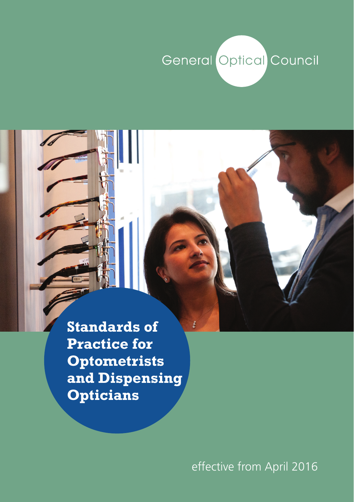# **General Optical Council**

**Standards of Practice for Optometrists and Dispensing Opticians**

effective from April 2016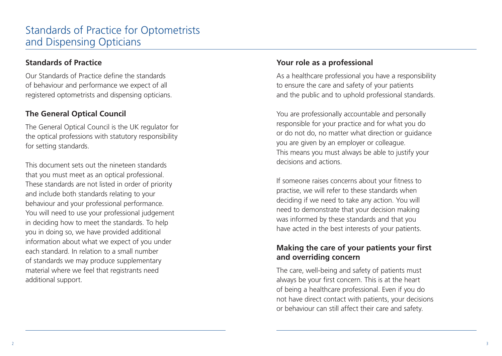#### **Standards of Practice**

Our Standards of Practice define the standards of behaviour and performance we expect of all registered optometrists and dispensing opticians.

#### **The General Optical Council**

The General Optical Council is the UK regulator for the optical professions with statutory responsibility for setting standards.

This document sets out the nineteen standards that you must meet as an optical professional. These standards are not listed in order of priority and include both standards relating to your behaviour and your professional performance. You will need to use your professional judgement in deciding how to meet the standards. To help you in doing so, we have provided additional information about what we expect of you under each standard. In relation to a small number of standards we may produce supplementary material where we feel that registrants need additional support.

#### **Your role as a professional**

As a healthcare professional you have a responsibility to ensure the care and safety of your patients and the public and to uphold professional standards.

You are professionally accountable and personally responsible for your practice and for what you do or do not do, no matter what direction or guidance you are given by an employer or colleague. This means you must always be able to justify your decisions and actions.

If someone raises concerns about your fitness to practise, we will refer to these standards when deciding if we need to take any action. You will need to demonstrate that your decision making was informed by these standards and that you have acted in the best interests of your patients.

## **Making the care of your patients your first and overriding concern**

The care, well-being and safety of patients must always be your first concern. This is at the heart of being a healthcare professional. Even if you do not have direct contact with patients, your decisions or behaviour can still affect their care and safety.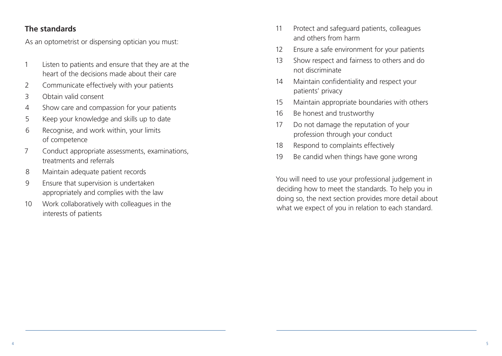#### **The standards**

As an optometrist or dispensing optician you must:

- 1 Listen to patients and ensure that they are at the heart of the decisions made about their care
- 2 Communicate effectively with your patients
- 3 Obtain valid consent
- 4 Show care and compassion for your patients
- 5 Keep your knowledge and skills up to date
- 6 Recognise, and work within, your limits of competence
- 7 Conduct appropriate assessments, examinations, treatments and referrals
- 8 Maintain adequate patient records
- 9 Ensure that supervision is undertaken appropriately and complies with the law
- 10 Work collaboratively with colleagues in the interests of patients
- 11 Protect and safeguard patients, colleagues and others from harm
- 12 Ensure a safe environment for your patients
- 13 Show respect and fairness to others and do not discriminate
- 14 Maintain confidentiality and respect your patients' privacy
- 15 Maintain appropriate boundaries with others
- 16 Be honest and trustworthy
- 17 Do not damage the reputation of your profession through your conduct
- 18 Respond to complaints effectively
- 19 Be candid when things have gone wrong

You will need to use your professional judgement in deciding how to meet the standards. To help you in doing so, the next section provides more detail about what we expect of you in relation to each standard.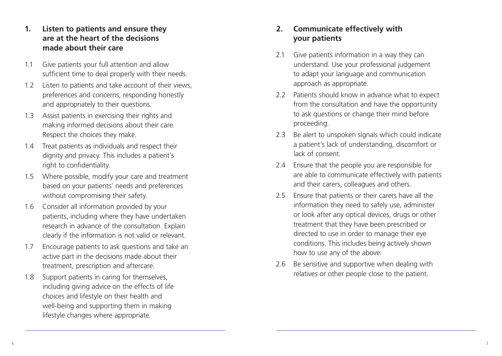### **1. Listen to patients and ensure they are at the heart of the decisions made about their care**

- 1.1 Give patients your full attention and allow sufficient time to deal properly with their needs.
- 1.2 Listen to patients and take account of their views, preferences and concerns, responding honestly and appropriately to their questions.
- 1.3 Assist patients in exercising their rights and making informed decisions about their care. Respect the choices they make.
- 1.4 Treat patients as individuals and respect their dignity and privacy. This includes a patient's right to confidentiality.
- 1.5 Where possible, modify your care and treatment based on your patients' needs and preferences without compromising their safety.
- 1.6 Consider all information provided by your patients, including where they have undertaken research in advance of the consultation. Explain clearly if the information is not valid or relevant.
- 1.7 Encourage patients to ask questions and take an active part in the decisions made about their treatment, prescription and aftercare.
- 1.8 Support patients in caring for themselves, including giving advice on the effects of life choices and lifestyle on their health and well-being and supporting them in making lifestyle changes where appropriate.

## **2. Communicate effectively with your patients**

- 2.1 Give patients information in a way they can understand. Use your professional judgement to adapt your language and communication approach as appropriate.
- 2.2 Patients should know in advance what to expect from the consultation and have the opportunity to ask questions or change their mind before proceeding.
- 2.3 Be alert to unspoken signals which could indicate a patient's lack of understanding, discomfort or lack of consent.
- 2.4 Ensure that the people you are responsible for are able to communicate effectively with patients and their carers, colleagues and others.
- 2.5 Ensure that patients or their carers have all the information they need to safely use, administer or look after any optical devices, drugs or other treatment that they have been prescribed or directed to use in order to manage their eye conditions. This includes being actively shown how to use any of the above.
- 2.6 Be sensitive and supportive when dealing with relatives or other people close to the patient.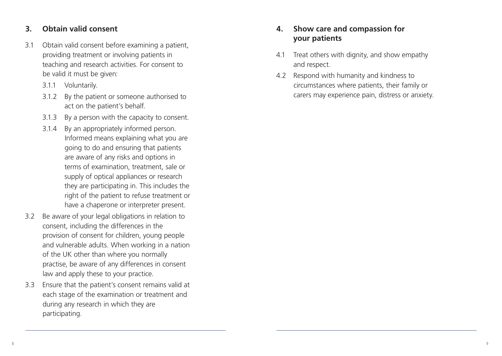#### **3. Obtain valid consent**

- 3.1 Obtain valid consent before examining a patient, providing treatment or involving patients in teaching and research activities. For consent to be valid it must be given:
	- 3.1.1 Voluntarily.
	- 3.1.2 By the patient or someone authorised to act on the patient's behalf.
	- 3.1.3 By a person with the capacity to consent.
	- 3.1.4 By an appropriately informed person. Informed means explaining what you are going to do and ensuring that patients are aware of any risks and options in terms of examination, treatment, sale or supply of optical appliances or research they are participating in. This includes the right of the patient to refuse treatment or have a chaperone or interpreter present.
- 3.2 Be aware of your legal obligations in relation to consent, including the differences in the provision of consent for children, young people and vulnerable adults. When working in a nation of the UK other than where you normally practise, be aware of any differences in consent law and apply these to your practice.
- 3.3 Ensure that the patient's consent remains valid at each stage of the examination or treatment and during any research in which they are participating.

## **4. Show care and compassion for your patients**

- 4.1 Treat others with dignity, and show empathy and respect.
- 4.2 Respond with humanity and kindness to circumstances where patients, their family or carers may experience pain, distress or anxiety.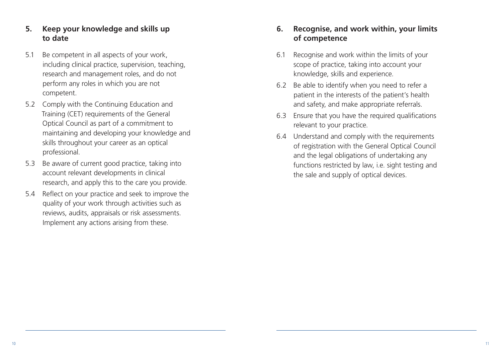## **5. Keep your knowledge and skills up to date**

- 5.1 Be competent in all aspects of your work, including clinical practice, supervision, teaching, research and management roles, and do not perform any roles in which you are not competent.
- 5.2 Comply with the Continuing Education and Training (CET) requirements of the General Optical Council as part of a commitment to maintaining and developing your knowledge and skills throughout your career as an optical professional.
- 5.3 Be aware of current good practice, taking into account relevant developments in clinical research, and apply this to the care you provide.
- 5.4 Reflect on your practice and seek to improve the quality of your work through activities such as reviews, audits, appraisals or risk assessments. Implement any actions arising from these.

## **6. Recognise, and work within, your limits of competence**

- 6.1 Recognise and work within the limits of your scope of practice, taking into account your knowledge, skills and experience.
- 6.2 Be able to identify when you need to refer a patient in the interests of the patient's health and safety, and make appropriate referrals.
- 6.3 Ensure that you have the required qualifications relevant to your practice.
- 6.4 Understand and comply with the requirements of registration with the General Optical Council and the legal obligations of undertaking any functions restricted by law, i.e. sight testing and the sale and supply of optical devices.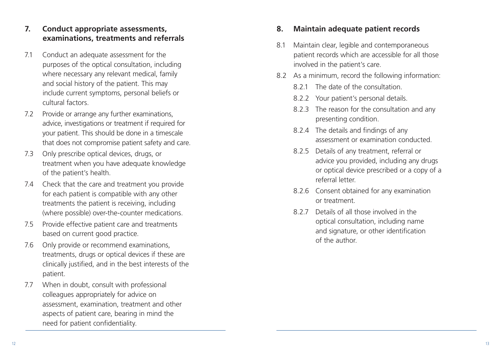## **7. Conduct appropriate assessments, examinations, treatments and referrals**

- 7.1 Conduct an adequate assessment for the purposes of the optical consultation, including where necessary any relevant medical, family and social history of the patient. This may include current symptoms, personal beliefs or cultural factors.
- 7.2 Provide or arrange any further examinations, advice, investigations or treatment if required for your patient. This should be done in a timescale that does not compromise patient safety and care.
- 7.3 Only prescribe optical devices, drugs, or treatment when you have adequate knowledge of the patient's health.
- 7.4 Check that the care and treatment you provide for each patient is compatible with any other treatments the patient is receiving, including (where possible) over-the-counter medications.
- 7.5 Provide effective patient care and treatments based on current good practice.
- 7.6 Only provide or recommend examinations, treatments, drugs or optical devices if these are clinically justified, and in the best interests of the patient.
- 7.7 When in doubt, consult with professional colleagues appropriately for advice on assessment, examination, treatment and other aspects of patient care, bearing in mind the need for patient confidentiality.

#### **8. Maintain adequate patient records**

- 8.1 Maintain clear, legible and contemporaneous patient records which are accessible for all those involved in the patient's care.
- 8.2 As a minimum, record the following information:
	- 8.2.1 The date of the consultation.
	- 8.2.2 Your patient's personal details.
	- 8.2.3 The reason for the consultation and any presenting condition.
	- 8.2.4 The details and findings of any assessment or examination conducted.
	- 8.2.5 Details of any treatment, referral or advice you provided, including any drugs or optical device prescribed or a copy of a referral letter.
	- 8.2.6 Consent obtained for any examination or treatment.
	- 8.2.7 Details of all those involved in the optical consultation, including name and signature, or other identification of the author.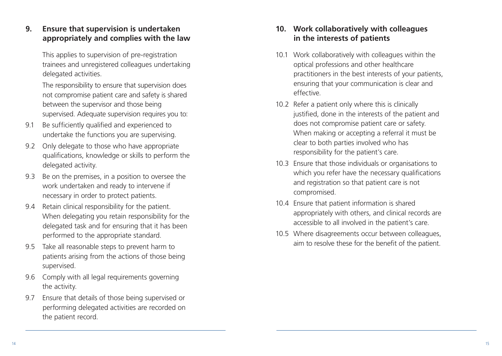## **9. Ensure that supervision is undertaken appropriately and complies with the law**

 This applies to supervision of pre-registration trainees and unregistered colleagues undertaking delegated activities.

 The responsibility to ensure that supervision does not compromise patient care and safety is shared between the supervisor and those being supervised. Adequate supervision requires you to:

- 9.1 Be sufficiently qualified and experienced to undertake the functions you are supervising.
- 9.2 Only delegate to those who have appropriate qualifications, knowledge or skills to perform the delegated activity.
- 9.3 Be on the premises, in a position to oversee the work undertaken and ready to intervene if necessary in order to protect patients.
- 9.4 Retain clinical responsibility for the patient. When delegating you retain responsibility for the delegated task and for ensuring that it has been performed to the appropriate standard.
- 9.5 Take all reasonable steps to prevent harm to patients arising from the actions of those being supervised.
- 9.6 Comply with all legal requirements governing the activity.
- 9.7 Ensure that details of those being supervised or performing delegated activities are recorded on the patient record.

## **10. Work collaboratively with colleagues in the interests of patients**

- 10.1 Work collaboratively with colleagues within the optical professions and other healthcare practitioners in the best interests of your patients, ensuring that your communication is clear and effective.
- 10.2 Refer a patient only where this is clinically justified, done in the interests of the patient and does not compromise patient care or safety. When making or accepting a referral it must be clear to both parties involved who has responsibility for the patient's care.
- 10.3 Ensure that those individuals or organisations to which you refer have the necessary qualifications and registration so that patient care is not compromised.
- 10.4 Ensure that patient information is shared appropriately with others, and clinical records are accessible to all involved in the patient's care.
- 10.5 Where disagreements occur between colleagues, aim to resolve these for the benefit of the patient.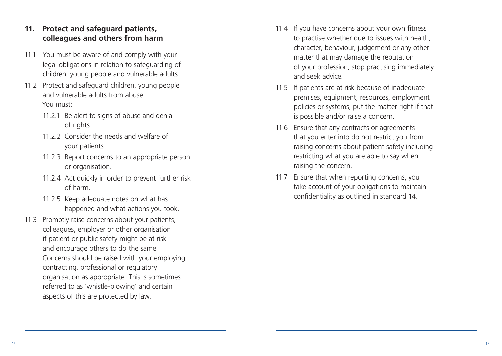### **11. Protect and safeguard patients, colleagues and others from harm**

- 11.1 You must be aware of and comply with your legal obligations in relation to safeguarding of children, young people and vulnerable adults.
- 11.2 Protect and safeguard children, young people and vulnerable adults from abuse. You must:
	- 11.2.1 Be alert to signs of abuse and denial of rights.
	- 11.2.2 Consider the needs and welfare of your patients.
	- 11.2.3 Report concerns to an appropriate person or organisation.
	- 11.2.4 Act quickly in order to prevent further risk of harm.
	- 11.2.5 Keep adequate notes on what has happened and what actions you took.
- 11.3 Promptly raise concerns about your patients, colleagues, employer or other organisation if patient or public safety might be at risk and encourage others to do the same. Concerns should be raised with your employing, contracting, professional or regulatory organisation as appropriate. This is sometimes referred to as 'whistle-blowing' and certain aspects of this are protected by law.
- 11.4 If you have concerns about your own fitness to practise whether due to issues with health, character, behaviour, judgement or any other matter that may damage the reputation of your profession, stop practising immediately and seek advice.
- 11.5 If patients are at risk because of inadequate premises, equipment, resources, employment policies or systems, put the matter right if that is possible and/or raise a concern.
- 11.6 Ensure that any contracts or agreements that you enter into do not restrict you from raising concerns about patient safety including restricting what you are able to say when raising the concern.
- 11.7 Ensure that when reporting concerns, you take account of your obligations to maintain confidentiality as outlined in standard 14.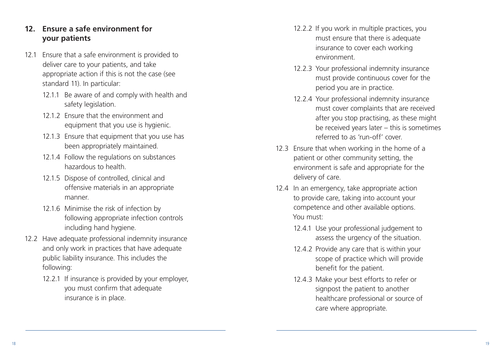## **12. Ensure a safe environment for your patients**

- 12.1 Ensure that a safe environment is provided to deliver care to your patients, and take appropriate action if this is not the case (see standard 11). In particular:
	- 12.1.1 Be aware of and comply with health and safety legislation.
	- 12.1.2 Ensure that the environment and equipment that you use is hygienic.
	- 12.1.3 Ensure that equipment that you use has been appropriately maintained.
	- 12.1.4 Follow the regulations on substances hazardous to health.
	- 12.1.5 Dispose of controlled, clinical and offensive materials in an appropriate manner.
	- 12.1.6 Minimise the risk of infection by following appropriate infection controls including hand hygiene.
- 12.2 Have adequate professional indemnity insurance and only work in practices that have adequate public liability insurance. This includes the following:
	- 12.2.1 If insurance is provided by your employer, you must confirm that adequate insurance is in place.
- 12.2.2 If you work in multiple practices, you must ensure that there is adequate insurance to cover each working environment.
- 12.2.3 Your professional indemnity insurance must provide continuous cover for the period you are in practice.
- 12.2.4 Your professional indemnity insurance must cover complaints that are received after you stop practising, as these might be received years later – this is sometimes referred to as 'run-off' cover.
- 12.3 Ensure that when working in the home of a patient or other community setting, the environment is safe and appropriate for the delivery of care.
- 12.4 In an emergency, take appropriate action to provide care, taking into account your competence and other available options. You must:
	- 12.4.1 Use your professional judgement to assess the urgency of the situation.
	- 12.4.2 Provide any care that is within your scope of practice which will provide benefit for the patient.
	- 12.4.3 Make your best efforts to refer or signpost the patient to another healthcare professional or source of care where appropriate.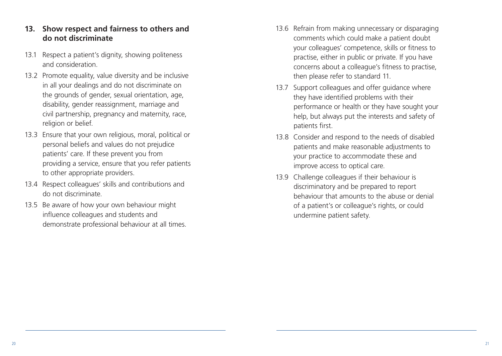#### **13. Show respect and fairness to others and do not discriminate**

- 13.1 Respect a patient's dignity, showing politeness and consideration.
- 13.2 Promote equality, value diversity and be inclusive in all your dealings and do not discriminate on the grounds of gender, sexual orientation, age, disability, gender reassignment, marriage and civil partnership, pregnancy and maternity, race, religion or belief.
- 13.3 Ensure that your own religious, moral, political or personal beliefs and values do not prejudice patients' care. If these prevent you from providing a service, ensure that you refer patients to other appropriate providers.
- 13.4 Respect colleagues' skills and contributions and do not discriminate.
- 13.5 Be aware of how your own behaviour might influence colleagues and students and demonstrate professional behaviour at all times.
- 13.6 Refrain from making unnecessary or disparaging comments which could make a patient doubt your colleagues' competence, skills or fitness to practise, either in public or private. If you have concerns about a colleague's fitness to practise, then please refer to standard 11.
- 13.7 Support colleagues and offer guidance where they have identified problems with their performance or health or they have sought your help, but always put the interests and safety of patients first.
- 13.8 Consider and respond to the needs of disabled patients and make reasonable adjustments to your practice to accommodate these and improve access to optical care.
- 13.9 Challenge colleagues if their behaviour is discriminatory and be prepared to report behaviour that amounts to the abuse or denial of a patient's or colleague's rights, or could undermine patient safety.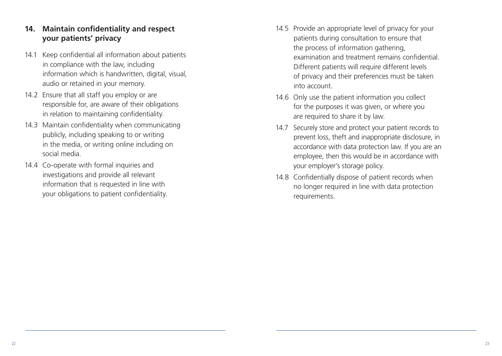#### **14. Maintain confidentiality and respect your patients' privacy**

- 14.1 Keep confidential all information about patients in compliance with the law, including information which is handwritten, digital, visual, audio or retained in your memory.
- 14.2 Ensure that all staff you employ or are responsible for, are aware of their obligations in relation to maintaining confidentiality.
- 14.3 Maintain confidentiality when communicating publicly, including speaking to or writing in the media, or writing online including on social media.
- 14.4 Co-operate with formal inquiries and investigations and provide all relevant information that is requested in line with your obligations to patient confidentiality.
- 14.5 Provide an appropriate level of privacy for your patients during consultation to ensure that the process of information gathering, examination and treatment remains confidential. Different patients will require different levels of privacy and their preferences must be taken into account.
- 14.6 Only use the patient information you collect for the purposes it was given, or where you are required to share it by law.
- 14.7 Securely store and protect your patient records to prevent loss, theft and inappropriate disclosure, in accordance with data protection law. If you are an employee, then this would be in accordance with your employer's storage policy.
- 14.8 Confidentially dispose of patient records when no longer required in line with data protection requirements.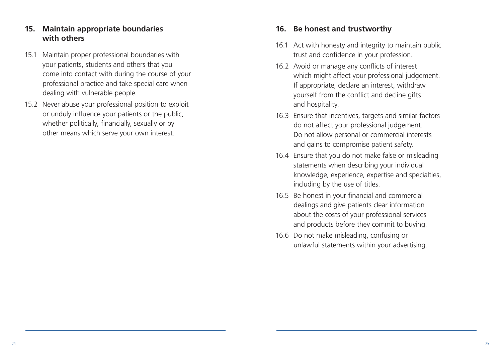### **15. Maintain appropriate boundaries with others**

- 15.1 Maintain proper professional boundaries with your patients, students and others that you come into contact with during the course of your professional practice and take special care when dealing with vulnerable people.
- 15.2 Never abuse your professional position to exploit or unduly influence your patients or the public, whether politically, financially, sexually or by other means which serve your own interest.

#### **16. Be honest and trustworthy**

- 16.1 Act with honesty and integrity to maintain public trust and confidence in your profession.
- 16.2 Avoid or manage any conflicts of interest which might affect your professional judgement. If appropriate, declare an interest, withdraw yourself from the conflict and decline gifts and hospitality.
- 16.3 Ensure that incentives, targets and similar factors do not affect your professional judgement. Do not allow personal or commercial interests and gains to compromise patient safety.
- 16.4 Ensure that you do not make false or misleading statements when describing your individual knowledge, experience, expertise and specialties, including by the use of titles.
- 16.5 Be honest in your financial and commercial dealings and give patients clear information about the costs of your professional services and products before they commit to buying.
- 16.6 Do not make misleading, confusing or unlawful statements within your advertising.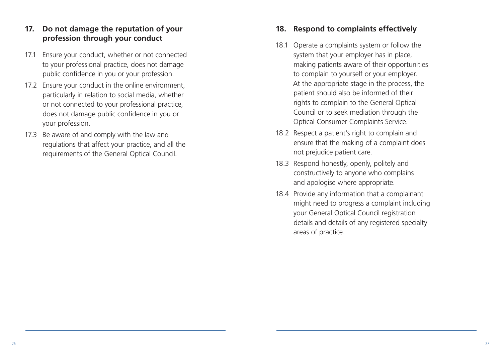## **17. Do not damage the reputation of your profession through your conduct**

- 17.1 Ensure your conduct, whether or not connected to your professional practice, does not damage public confidence in you or your profession.
- 17.2 Ensure your conduct in the online environment, particularly in relation to social media, whether or not connected to your professional practice, does not damage public confidence in you or your profession.
- 17.3 Be aware of and comply with the law and regulations that affect your practice, and all the requirements of the General Optical Council.

#### **18. Respond to complaints effectively**

- 18.1 Operate a complaints system or follow the system that your employer has in place, making patients aware of their opportunities to complain to yourself or your employer. At the appropriate stage in the process, the patient should also be informed of their rights to complain to the General Optical Council or to seek mediation through the Optical Consumer Complaints Service.
- 18.2 Respect a patient's right to complain and ensure that the making of a complaint does not prejudice patient care.
- 18.3 Respond honestly, openly, politely and constructively to anyone who complains and apologise where appropriate.
- 18.4 Provide any information that a complainant might need to progress a complaint including your General Optical Council registration details and details of any registered specialty areas of practice.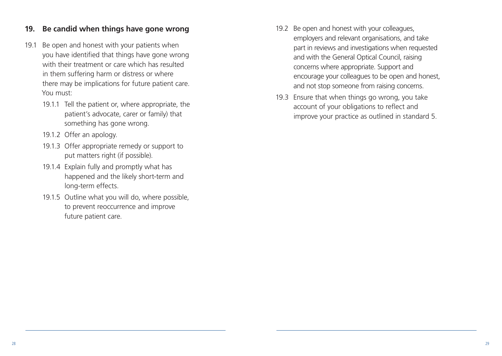#### **19. Be candid when things have gone wrong**

- 19.1 Be open and honest with your patients when you have identified that things have gone wrong with their treatment or care which has resulted in them suffering harm or distress or where there may be implications for future patient care. You must:
	- 19.1.1 Tell the patient or, where appropriate, the patient's advocate, carer or family) that something has gone wrong.
	- 19.1.2 Offer an apology.
	- 19.1.3 Offer appropriate remedy or support to put matters right (if possible).
	- 19.1.4 Explain fully and promptly what has happened and the likely short-term and long-term effects.
	- 19.1.5 Outline what you will do, where possible, to prevent reoccurrence and improve future patient care.
- 19.2 Be open and honest with your colleagues, employers and relevant organisations, and take part in reviews and investigations when requested and with the General Optical Council, raising concerns where appropriate. Support and encourage your colleagues to be open and honest, and not stop someone from raising concerns.
- 19.3 Ensure that when things go wrong, you take account of your obligations to reflect and improve your practice as outlined in standard 5.